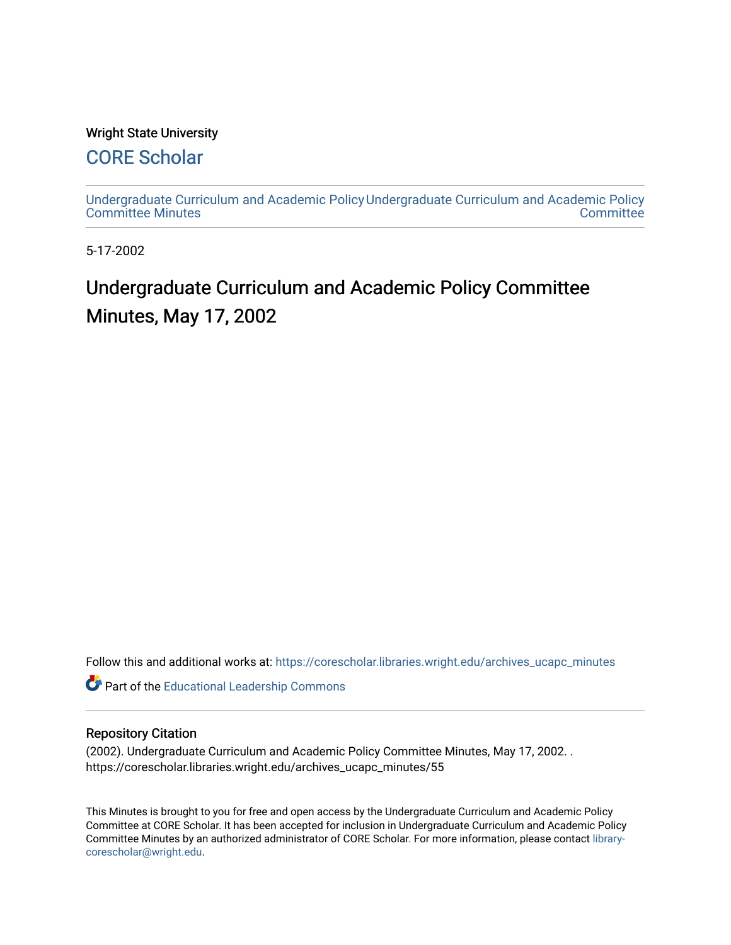#### Wright State University

# [CORE Scholar](https://corescholar.libraries.wright.edu/)

[Undergraduate Curriculum and Academic Policy](https://corescholar.libraries.wright.edu/archives_ucapc_minutes) [Undergraduate Curriculum and Academic Policy](https://corescholar.libraries.wright.edu/archives_ucapc)  [Committee Minutes](https://corescholar.libraries.wright.edu/archives_ucapc_minutes) **Committee** 

5-17-2002

# Undergraduate Curriculum and Academic Policy Committee Minutes, May 17, 2002

Follow this and additional works at: [https://corescholar.libraries.wright.edu/archives\\_ucapc\\_minutes](https://corescholar.libraries.wright.edu/archives_ucapc_minutes?utm_source=corescholar.libraries.wright.edu%2Farchives_ucapc_minutes%2F55&utm_medium=PDF&utm_campaign=PDFCoverPages) 

Part of the [Educational Leadership Commons](http://network.bepress.com/hgg/discipline/1230?utm_source=corescholar.libraries.wright.edu%2Farchives_ucapc_minutes%2F55&utm_medium=PDF&utm_campaign=PDFCoverPages) 

#### Repository Citation

(2002). Undergraduate Curriculum and Academic Policy Committee Minutes, May 17, 2002. . https://corescholar.libraries.wright.edu/archives\_ucapc\_minutes/55

This Minutes is brought to you for free and open access by the Undergraduate Curriculum and Academic Policy Committee at CORE Scholar. It has been accepted for inclusion in Undergraduate Curriculum and Academic Policy Committee Minutes by an authorized administrator of CORE Scholar. For more information, please contact [library](mailto:library-corescholar@wright.edu)[corescholar@wright.edu](mailto:library-corescholar@wright.edu).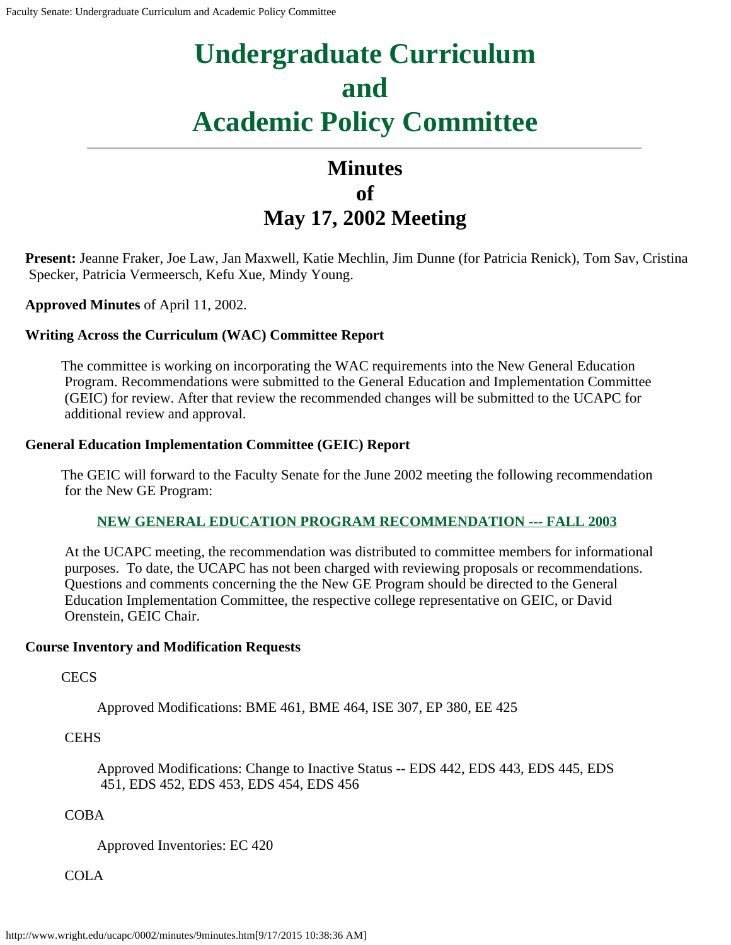# **Undergraduate Curriculum and Academic Policy Committee**

# **Minutes of May 17, 2002 Meeting**

**Present:** Jeanne Fraker, Joe Law, Jan Maxwell, Katie Mechlin, Jim Dunne (for Patricia Renick), Tom Sav, Cristina Specker, Patricia Vermeersch, Kefu Xue, Mindy Young.

**Approved Minutes** of April 11, 2002.

#### **Writing Across the Curriculum (WAC) Committee Report**

The committee is working on incorporating the WAC requirements into the New General Education Program. Recommendations were submitted to the General Education and Implementation Committee (GEIC) for review. After that review the recommended changes will be submitted to the UCAPC for additional review and approval.

#### **General Education Implementation Committee (GEIC) Report**

The GEIC will forward to the Faculty Senate for the June 2002 meeting the following recommendation for the New GE Program:

#### **[NEW GENERAL EDUCATION PROGRAM RECOMMENDATION](#page-4-0) --- FALL 2003**

At the UCAPC meeting, the recommendation was distributed to committee members for informational purposes. To date, the UCAPC has not been charged with reviewing proposals or recommendations. Questions and comments concerning the the New GE Program should be directed to the General Education Implementation Committee, the respective college representative on GEIC, or David Orenstein, GEIC Chair.

#### **Course Inventory and Modification Requests**

**CECS** 

Approved Modifications: BME 461, BME 464, ISE 307, EP 380, EE 425

**CEHS** 

Approved Modifications: Change to Inactive Status -- EDS 442, EDS 443, EDS 445, EDS 451, EDS 452, EDS 453, EDS 454, EDS 456

COBA

Approved Inventories: EC 420

COLA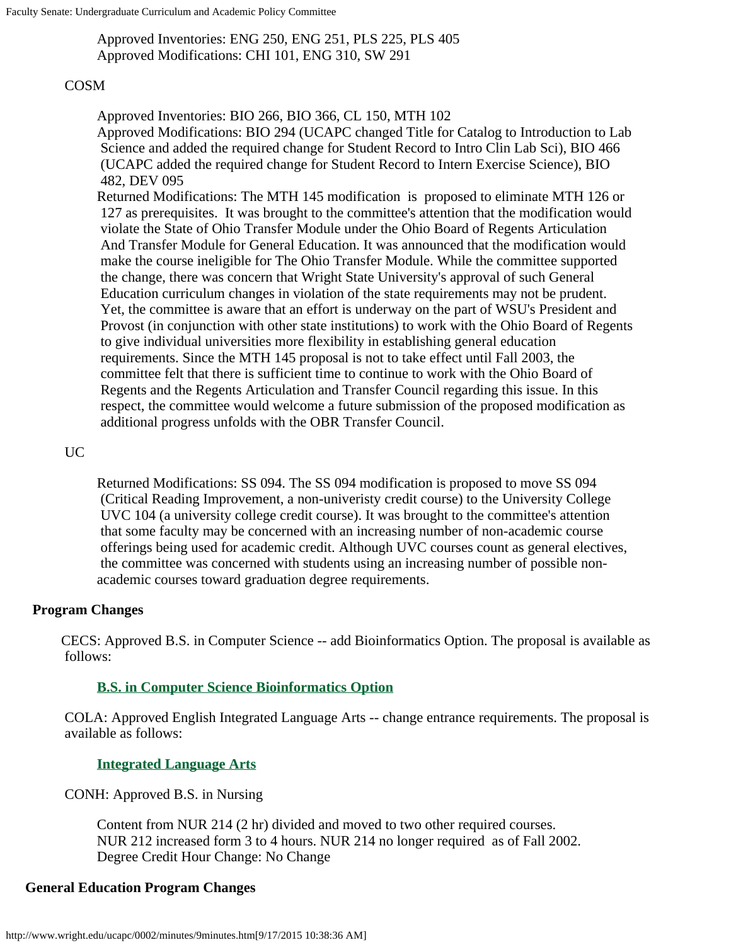Faculty Senate: Undergraduate Curriculum and Academic Policy Committee

Approved Inventories: ENG 250, ENG 251, PLS 225, PLS 405 Approved Modifications: CHI 101, ENG 310, SW 291

#### COSM

Approved Inventories: BIO 266, BIO 366, CL 150, MTH 102 Approved Modifications: BIO 294 (UCAPC changed Title for Catalog to Introduction to Lab Science and added the required change for Student Record to Intro Clin Lab Sci), BIO 466 (UCAPC added the required change for Student Record to Intern Exercise Science), BIO 482, DEV 095

Returned Modifications: The MTH 145 modification is proposed to eliminate MTH 126 or 127 as prerequisites. It was brought to the committee's attention that the modification would violate the State of Ohio Transfer Module under the Ohio Board of Regents Articulation And Transfer Module for General Education. It was announced that the modification would make the course ineligible for The Ohio Transfer Module. While the committee supported the change, there was concern that Wright State University's approval of such General Education curriculum changes in violation of the state requirements may not be prudent. Yet, the committee is aware that an effort is underway on the part of WSU's President and Provost (in conjunction with other state institutions) to work with the Ohio Board of Regents to give individual universities more flexibility in establishing general education requirements. Since the MTH 145 proposal is not to take effect until Fall 2003, the committee felt that there is sufficient time to continue to work with the Ohio Board of Regents and the Regents Articulation and Transfer Council regarding this issue. In this respect, the committee would welcome a future submission of the proposed modification as additional progress unfolds with the OBR Transfer Council.

#### UC

Returned Modifications: SS 094. The SS 094 modification is proposed to move SS 094 (Critical Reading Improvement, a non-univeristy credit course) to the University College UVC 104 (a university college credit course). It was brought to the committee's attention that some faculty may be concerned with an increasing number of non-academic course offerings being used for academic credit. Although UVC courses count as general electives, the committee was concerned with students using an increasing number of possible nonacademic courses toward graduation degree requirements.

#### **Program Changes**

CECS: Approved B.S. in Computer Science -- add Bioinformatics Option. The proposal is available as follows:

# **[B.S. in Computer Science Bioinformatics](#page-10-0) Option**

COLA: Approved English Integrated Language Arts -- change entrance requirements. The proposal is available as follows:

#### **[Integrated Language Arts](#page-14-0)**

CONH: Approved B.S. in Nursing

Content from NUR 214 (2 hr) divided and moved to two other required courses. NUR 212 increased form 3 to 4 hours. NUR 214 no longer required as of Fall 2002. Degree Credit Hour Change: No Change

#### **General Education Program Changes**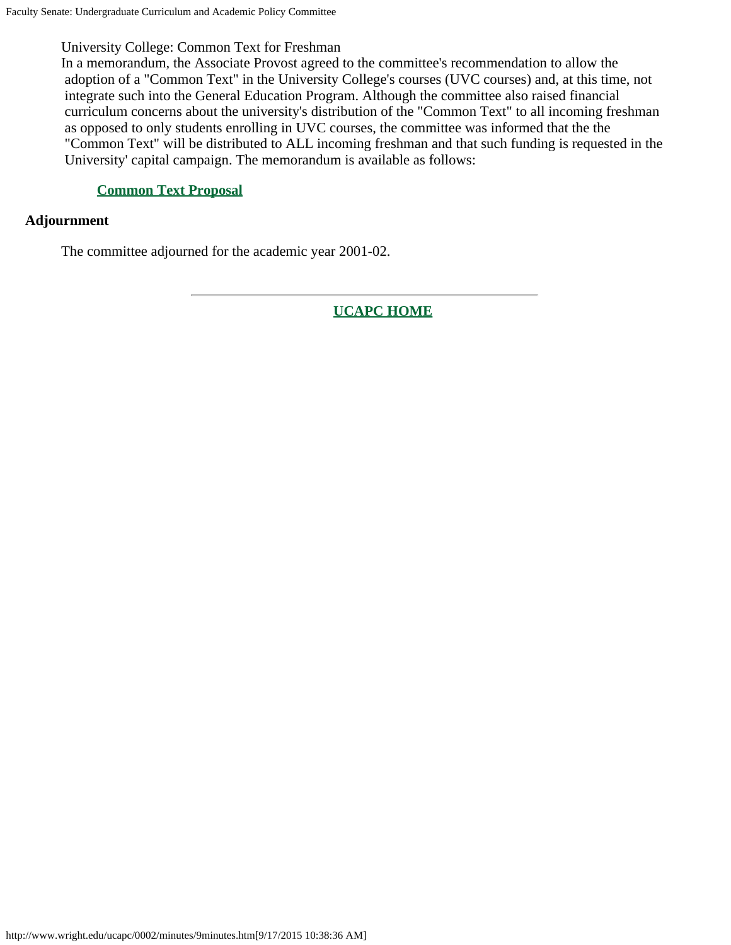# University College: Common Text for Freshman

In a memorandum, the Associate Provost agreed to the committee's recommendation to allow the adoption of a "Common Text" in the University College's courses (UVC courses) and, at this time, not integrate such into the General Education Program. Although the committee also raised financial curriculum concerns about the university's distribution of the "Common Text" to all incoming freshman as opposed to only students enrolling in UVC courses, the committee was informed that the the "Common Text" will be distributed to ALL incoming freshman and that such funding is requested in the University' capital campaign. The memorandum is available as follows:

#### **[Common Text Proposal](#page-18-0)**

#### **Adjournment**

The committee adjourned for the academic year 2001-02.

**[UCAPC HOME](http://www.wright.edu/ucapc/index.htm)**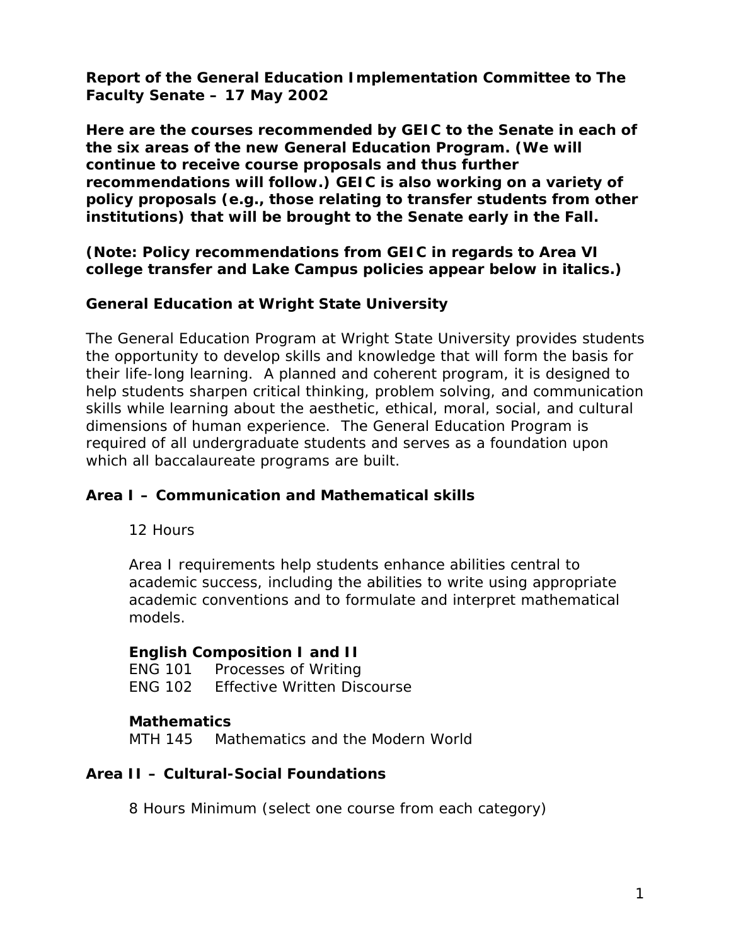<span id="page-4-0"></span>**Report of the General Education Implementation Committee to The Faculty Senate – 17 May 2002**

**Here are the courses recommended by GEIC to the Senate in each of the six areas of the new General Education Program. (We will continue to receive course proposals and thus further recommendations will follow.) GEIC is also working on a variety of policy proposals (e.g., those relating to transfer students from other institutions) that will be brought to the Senate early in the Fall.**

**(Note: Policy recommendations from GEIC in regards to Area VI college transfer and Lake Campus policies appear below in italics.)**

# **General Education at Wright State University**

The General Education Program at Wright State University provides students the opportunity to develop skills and knowledge that will form the basis for their life-long learning. A planned and coherent program, it is designed to help students sharpen critical thinking, problem solving, and communication skills while learning about the aesthetic, ethical, moral, social, and cultural dimensions of human experience. The General Education Program is required of all undergraduate students and serves as a foundation upon which all baccalaureate programs are built.

# **Area I – Communication and Mathematical skills**

12 Hours

Area I requirements help students enhance abilities central to academic success, including the abilities to write using appropriate academic conventions and to formulate and interpret mathematical models.

# **English Composition I and II**

ENG 101 Processes of Writing ENG 102 Effective Written Discourse

# **Mathematics**

MTH 145 Mathematics and the Modern World

# **Area II – Cultural-Social Foundations**

8 Hours Minimum (select one course from each category)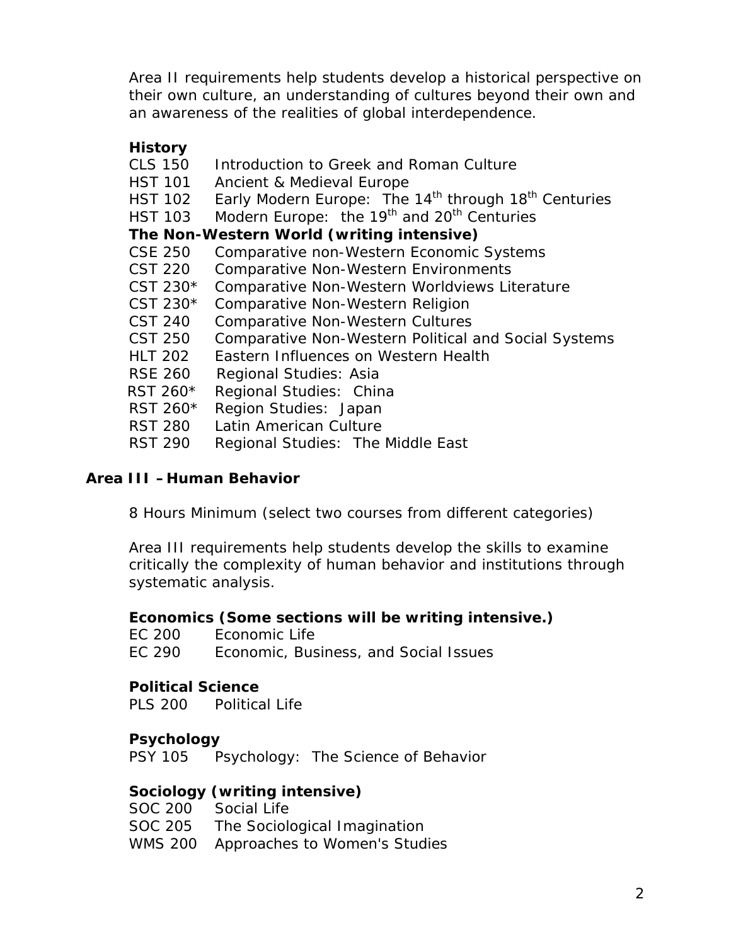Area II requirements help students develop a historical perspective on their own culture, an understanding of cultures beyond their own and an awareness of the realities of global interdependence.

# **History**

| <b>CLS 150</b> | Introduction to Greek and Roman Culture                                      |
|----------------|------------------------------------------------------------------------------|
| <b>HST 101</b> | Ancient & Medieval Europe                                                    |
| <b>HST 102</b> | Early Modern Europe: The 14 <sup>th</sup> through 18 <sup>th</sup> Centuries |
| <b>HST 103</b> | Modern Europe: the 19 <sup>th</sup> and 20 <sup>th</sup> Centuries           |
|                | The Non-Western World (writing intensive)                                    |
| <b>CSE 250</b> | Comparative non-Western Economic Systems                                     |
| <b>CST 220</b> | <b>Comparative Non-Western Environments</b>                                  |
| CST 230*       | Comparative Non-Western Worldviews Literature                                |
| CST 230*       | Comparative Non-Western Religion                                             |
| CST 240        | <b>Comparative Non-Western Cultures</b>                                      |
| CST 250        | <b>Comparative Non-Western Political and Social Systems</b>                  |
| <b>HLT 202</b> | Eastern Influences on Western Health                                         |
| <b>RSE 260</b> | Regional Studies: Asia                                                       |
| RST 260*       | Regional Studies: China                                                      |
| RST 260*       | Region Studies: Japan                                                        |
| <b>RST 280</b> | Latin American Culture                                                       |
| <b>RST 290</b> | Regional Studies: The Middle East                                            |

# **Area III –Human Behavior**

8 Hours Minimum (select two courses from different categories)

Area III requirements help students develop the skills to examine critically the complexity of human behavior and institutions through systematic analysis.

# **Economics (Some sections will be writing intensive.)**

EC 200 Economic Life

EC 290 Economic, Business, and Social Issues

# **Political Science**

PLS 200 Political Life

# **Psychology**

PSY 105 Psychology: The Science of Behavior

# **Sociology (writing intensive)**

| SOC 200 Social Life                   |
|---------------------------------------|
| SOC 205 The Sociological Imagination  |
| WMS 200 Approaches to Women's Studies |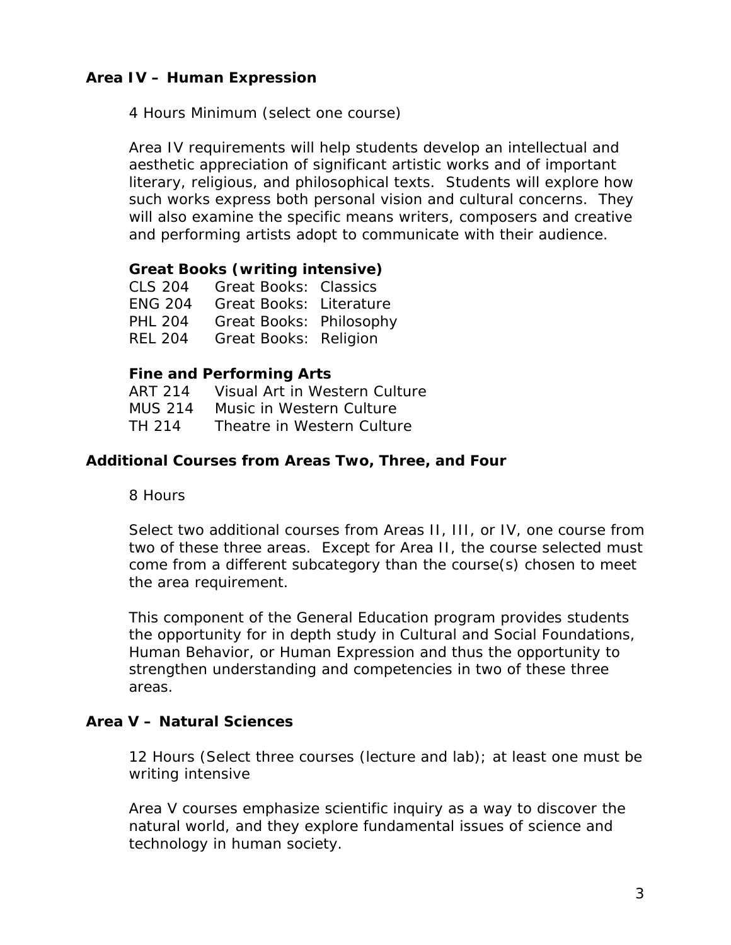# **Area IV – Human Expression**

4 Hours Minimum (select one course)

Area IV requirements will help students develop an intellectual and aesthetic appreciation of significant artistic works and of important literary, religious, and philosophical texts. Students will explore how such works express both personal vision and cultural concerns. They will also examine the specific means writers, composers and creative and performing artists adopt to communicate with their audience.

#### **Great Books (writing intensive)**

| CLS 204        | <b>Great Books: Classics</b>   |  |
|----------------|--------------------------------|--|
| <b>ENG 204</b> | <b>Great Books: Literature</b> |  |
| <b>PHL 204</b> | Great Books: Philosophy        |  |
| <b>REL 204</b> | <b>Great Books: Religion</b>   |  |

#### **Fine and Performing Arts**

| ART 214        | Visual Art in Western Culture |
|----------------|-------------------------------|
| <b>MUS 214</b> | Music in Western Culture      |
| TH 214         | Theatre in Western Culture    |

#### **Additional Courses from Areas Two, Three, and Four**

8 Hours

Select two additional courses from Areas II, III, or IV, one course from two of these three areas. Except for Area II, the course selected must come from a different subcategory than the course(s) chosen to meet the area requirement.

This component of the General Education program provides students the opportunity for in depth study in Cultural and Social Foundations, Human Behavior, or Human Expression and thus the opportunity to strengthen understanding and competencies in two of these three areas.

#### **Area V – Natural Sciences**

12 Hours (Select three courses (lecture and lab); at least one must be writing intensive

Area V courses emphasize scientific inquiry as a way to discover the natural world, and they explore fundamental issues of science and technology in human society.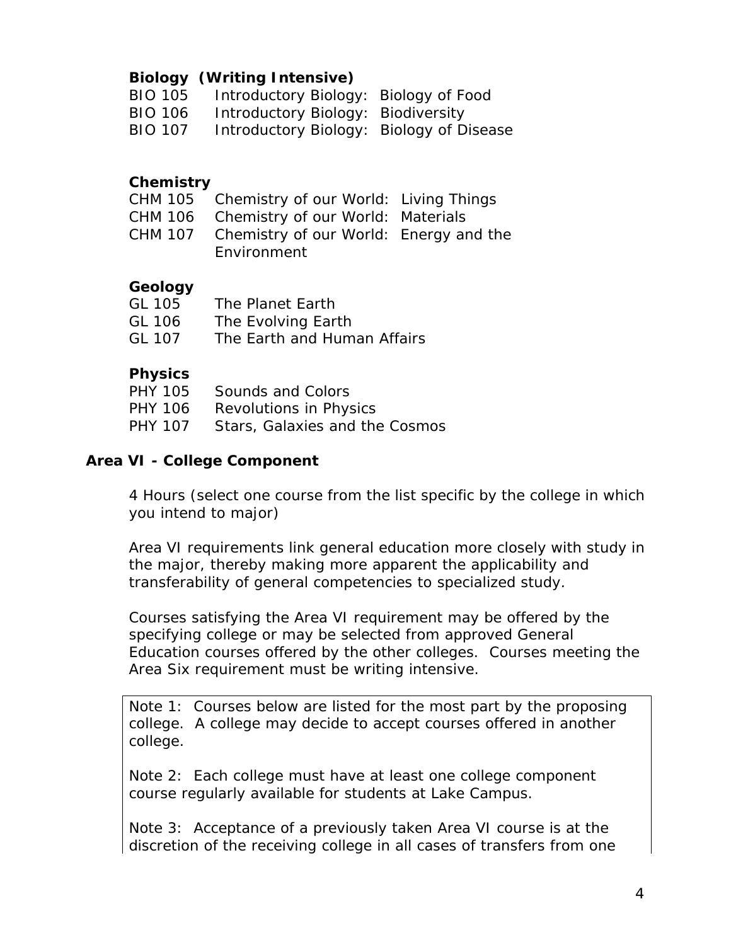# **Biology (Writing Intensive)**

- BIO 105 Introductory Biology: Biology of Food
- BIO 106 Introductory Biology: Biodiversity
- BIO 107 Introductory Biology: Biology of Disease

# **Chemistry**

- CHM 105 Chemistry of our World: Living Things
- CHM 106 Chemistry of our World: Materials
- CHM 107 Chemistry of our World: Energy and the Environment

# **Geology**

| GL 105 | The Planet Earth            |
|--------|-----------------------------|
| GL 106 | The Evolving Earth          |
| GL 107 | The Earth and Human Affairs |

# **Physics**

|         | PHY 105 Sounds and Colors              |
|---------|----------------------------------------|
| PHY 106 | Revolutions in Physics                 |
|         | PHY 107 Stars, Galaxies and the Cosmos |

# **Area VI - College Component**

4 Hours (select one course from the list specific by the college in which you intend to major)

Area VI requirements link general education more closely with study in the major, thereby making more apparent the applicability and transferability of general competencies to specialized study.

Courses satisfying the Area VI requirement may be offered by the specifying college or may be selected from approved General Education courses offered by the other colleges. Courses meeting the Area Six requirement must be writing intensive.

Note 1: Courses below are listed for the most part by the proposing college. A college may decide to accept courses offered in another college.

*Note 2: Each college must have at least one college component course regularly available for students at Lake Campus.*

*Note 3: Acceptance of a previously taken Area VI course is at the discretion of the receiving college in all cases of transfers from one*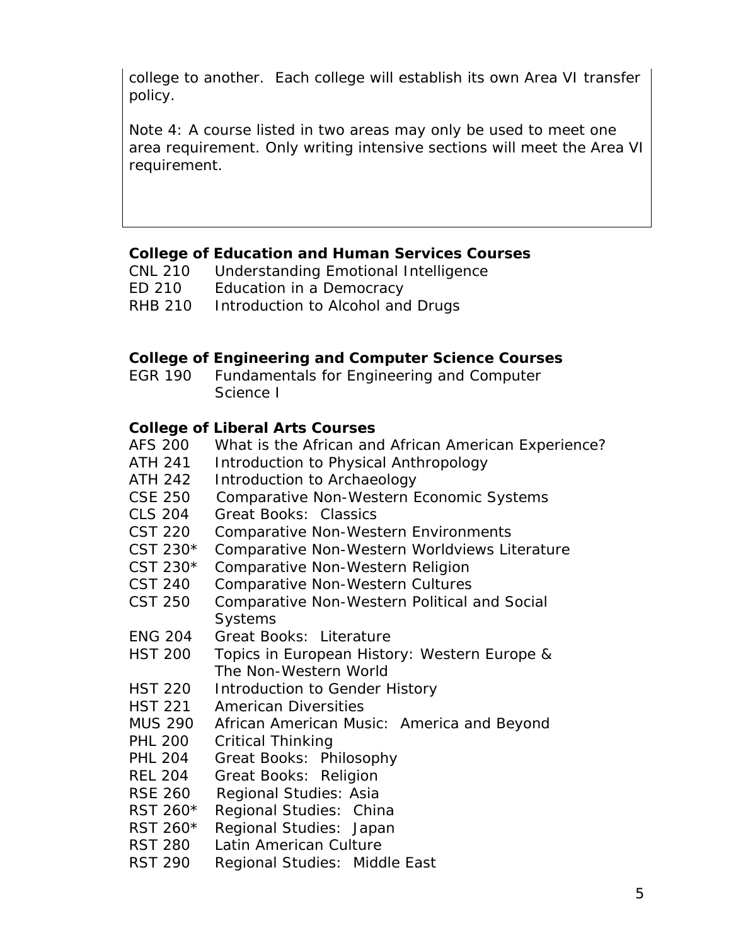*college to another. Each college will establish its own Area VI transfer policy.*

Note 4: A course listed in two areas may only be used to meet one area requirement. Only writing intensive sections will meet the Area VI requirement.

#### **College of Education and Human Services Courses**

- CNL 210 Understanding Emotional Intelligence
- ED 210 Education in a Democracy
- RHB 210 Introduction to Alcohol and Drugs

#### **College of Engineering and Computer Science Courses**

EGR 190 Fundamentals for Engineering and Computer Science I

# **College of Liberal Arts Courses**

- AFS 200 What is the African and African American Experience?
- ATH 241 Introduction to Physical Anthropology
- ATH 242 Introduction to Archaeology
- CSE 250 Comparative Non-Western Economic Systems
- CLS 204 Great Books: Classics
- CST 220 Comparative Non-Western Environments
- CST 230\* Comparative Non-Western Worldviews Literature
- CST 230\* Comparative Non-Western Religion
- CST 240 Comparative Non-Western Cultures
- CST 250 Comparative Non-Western Political and Social **Systems**
- ENG 204 Great Books: Literature
- HST 200 Topics in European History: Western Europe & The Non-Western World
- HST 220 Introduction to Gender History
- HST 221 American Diversities
- MUS 290 African American Music: America and Beyond
- PHL 200 Critical Thinking
- PHL 204 Great Books: Philosophy
- REL 204 Great Books: Religion
- RSE 260 Regional Studies: Asia
- RST 260\* Regional Studies: China
- RST 260\* Regional Studies: Japan
- RST 280 Latin American Culture
- RST 290 Regional Studies: Middle East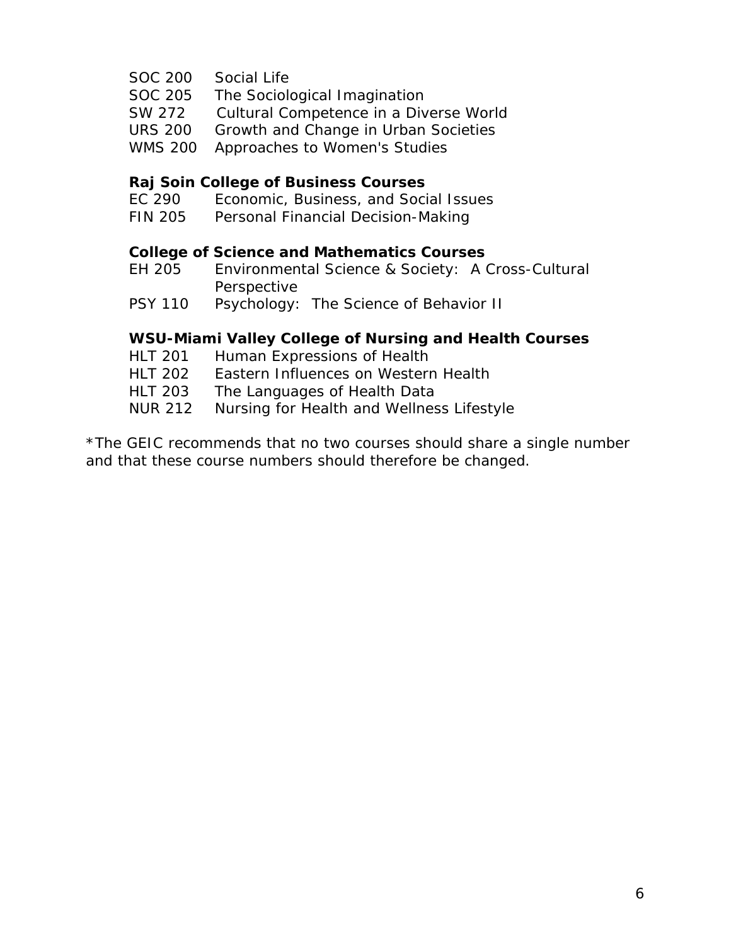- SOC 200 Social Life
- SOC 205 The Sociological Imagination
- SW 272 Cultural Competence in a Diverse World
- URS 200 Growth and Change in Urban Societies
- WMS 200 Approaches to Women's Studies

#### **Raj Soin College of Business Courses**

- EC 290 Economic, Business, and Social Issues
- FIN 205 Personal Financial Decision-Making

#### **College of Science and Mathematics Courses**

- EH 205 Environmental Science & Society: A Cross-Cultural Perspective
- PSY 110 Psychology: The Science of Behavior II

#### **WSU-Miami Valley College of Nursing and Health Courses**

- HLT 201 Human Expressions of Health
- HLT 202 Eastern Influences on Western Health
- HLT 203 The Languages of Health Data
- NUR 212 Nursing for Health and Wellness Lifestyle

\*The GEIC recommends that no two courses should share a single number and that these course numbers should therefore be changed.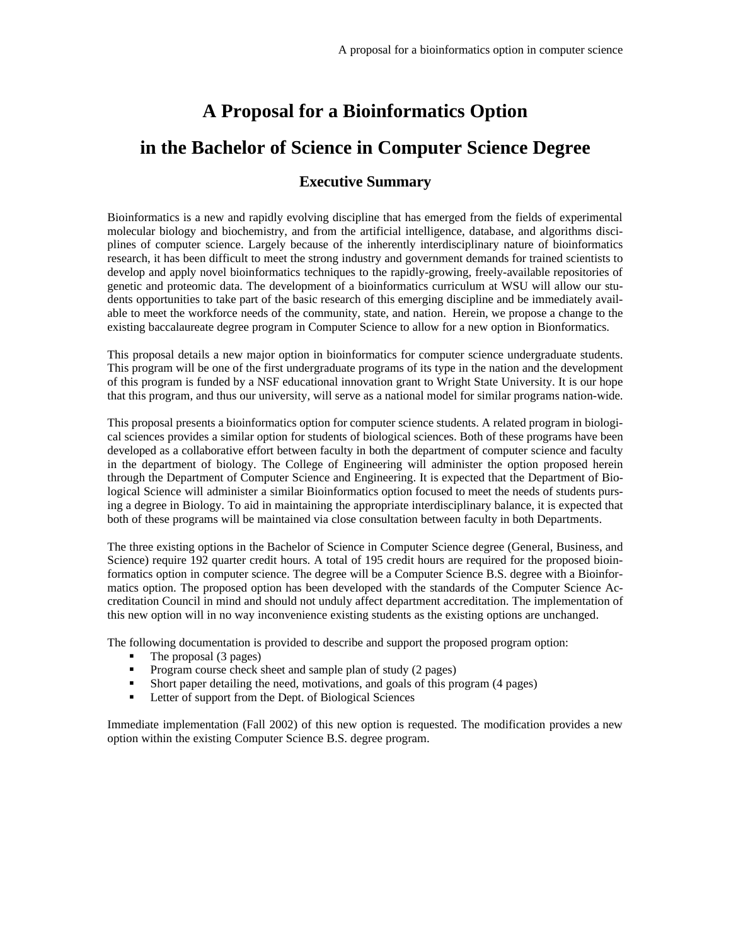# <span id="page-10-0"></span>**A Proposal for a Bioinformatics Option in the Bachelor of Science in Computer Science Degree**

#### **Executive Summary**

Bioinformatics is a new and rapidly evolving discipline that has emerged from the fields of experimental molecular biology and biochemistry, and from the artificial intelligence, database, and algorithms disciplines of computer science. Largely because of the inherently interdisciplinary nature of bioinformatics research, it has been difficult to meet the strong industry and government demands for trained scientists to develop and apply novel bioinformatics techniques to the rapidly-growing, freely-available repositories of genetic and proteomic data. The development of a bioinformatics curriculum at WSU will allow our students opportunities to take part of the basic research of this emerging discipline and be immediately available to meet the workforce needs of the community, state, and nation. Herein, we propose a change to the existing baccalaureate degree program in Computer Science to allow for a new option in Bionformatics.

This proposal details a new major option in bioinformatics for computer science undergraduate students. This program will be one of the first undergraduate programs of its type in the nation and the development of this program is funded by a NSF educational innovation grant to Wright State University. It is our hope that this program, and thus our university, will serve as a national model for similar programs nation-wide.

This proposal presents a bioinformatics option for computer science students. A related program in biological sciences provides a similar option for students of biological sciences. Both of these programs have been developed as a collaborative effort between faculty in both the department of computer science and faculty in the department of biology. The College of Engineering will administer the option proposed herein through the Department of Computer Science and Engineering. It is expected that the Department of Biological Science will administer a similar Bioinformatics option focused to meet the needs of students pursing a degree in Biology. To aid in maintaining the appropriate interdisciplinary balance, it is expected that both of these programs will be maintained via close consultation between faculty in both Departments.

The three existing options in the Bachelor of Science in Computer Science degree (General, Business, and Science) require 192 quarter credit hours. A total of 195 credit hours are required for the proposed bioinformatics option in computer science. The degree will be a Computer Science B.S. degree with a Bioinformatics option. The proposed option has been developed with the standards of the Computer Science Accreditation Council in mind and should not unduly affect department accreditation. The implementation of this new option will in no way inconvenience existing students as the existing options are unchanged.

The following documentation is provided to describe and support the proposed program option:

- The proposal (3 pages)
- ß Program course check sheet and sample plan of study (2 pages)
- ß Short paper detailing the need, motivations, and goals of this program (4 pages)
- ß Letter of support from the Dept. of Biological Sciences

Immediate implementation (Fall 2002) of this new option is requested. The modification provides a new option within the existing Computer Science B.S. degree program.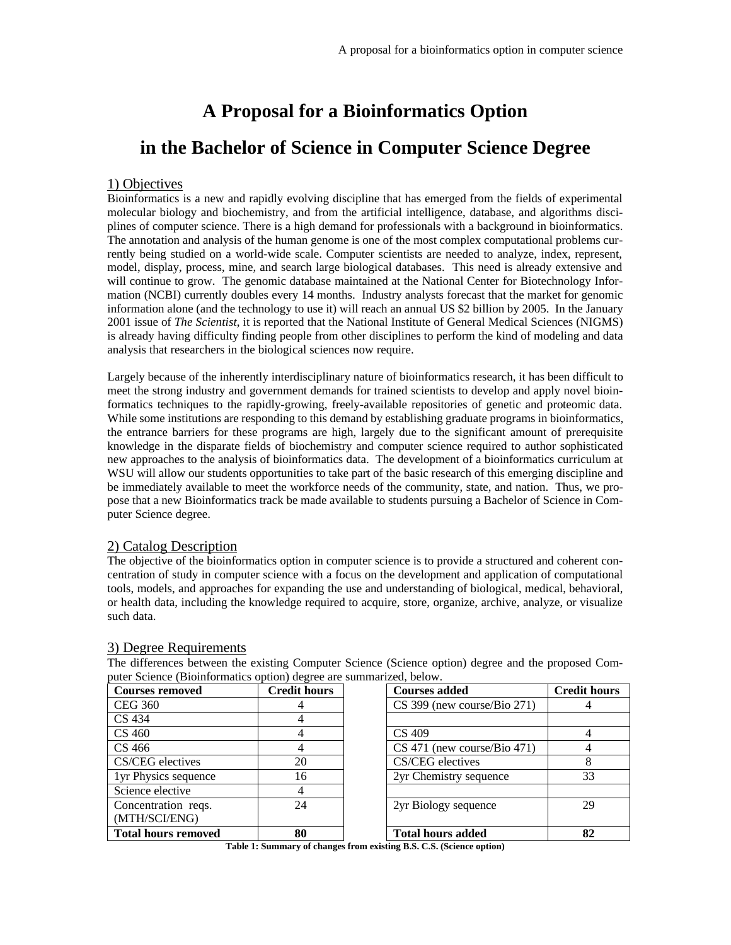# **A Proposal for a Bioinformatics Option**

# **in the Bachelor of Science in Computer Science Degree**

#### 1) Objectives

Bioinformatics is a new and rapidly evolving discipline that has emerged from the fields of experimental molecular biology and biochemistry, and from the artificial intelligence, database, and algorithms disciplines of computer science. There is a high demand for professionals with a background in bioinformatics. The annotation and analysis of the human genome is one of the most complex computational problems currently being studied on a world-wide scale. Computer scientists are needed to analyze, index, represent, model, display, process, mine, and search large biological databases. This need is already extensive and will continue to grow. The genomic database maintained at the National Center for Biotechnology Information (NCBI) currently doubles every 14 months. Industry analysts forecast that the market for genomic information alone (and the technology to use it) will reach an annual US \$2 billion by 2005. In the January 2001 issue of *The Scientist*, it is reported that the National Institute of General Medical Sciences (NIGMS) is already having difficulty finding people from other disciplines to perform the kind of modeling and data analysis that researchers in the biological sciences now require.

Largely because of the inherently interdisciplinary nature of bioinformatics research, it has been difficult to meet the strong industry and government demands for trained scientists to develop and apply novel bioinformatics techniques to the rapidly-growing, freely-available repositories of genetic and proteomic data. While some institutions are responding to this demand by establishing graduate programs in bioinformatics, the entrance barriers for these programs are high, largely due to the significant amount of prerequisite knowledge in the disparate fields of biochemistry and computer science required to author sophisticated new approaches to the analysis of bioinformatics data. The development of a bioinformatics curriculum at WSU will allow our students opportunities to take part of the basic research of this emerging discipline and be immediately available to meet the workforce needs of the community, state, and nation. Thus, we propose that a new Bioinformatics track be made available to students pursuing a Bachelor of Science in Computer Science degree.

#### 2) Catalog Description

The objective of the bioinformatics option in computer science is to provide a structured and coherent concentration of study in computer science with a focus on the development and application of computational tools, models, and approaches for expanding the use and understanding of biological, medical, behavioral, or health data, including the knowledge required to acquire, store, organize, archive, analyze, or visualize such data.

#### 3) Degree Requirements

The differences between the existing Computer Science (Science option) degree and the proposed Computer Science (Bioinformatics option) degree are summarized, below.

| <b>Courses removed</b>     | <b>Credit hours</b> | <b>Courses added</b>          | <b>Credit hours</b> |
|----------------------------|---------------------|-------------------------------|---------------------|
| <b>CEG 360</b>             |                     | CS 399 (new course/Bio 271)   |                     |
| CS 434                     |                     |                               |                     |
| CS 460                     |                     | CS 409                        |                     |
| CS 466                     |                     | $CS$ 471 (new course/Bio 471) |                     |
| CS/CEG electives           | 20                  | CS/CEG electives              |                     |
| 1yr Physics sequence       | 16                  | 2yr Chemistry sequence        | 33                  |
| Science elective           |                     |                               |                     |
| Concentration reqs.        | 24                  | 2yr Biology sequence          | 29                  |
| (MTH/SCI/ENG)              |                     |                               |                     |
| <b>Total hours removed</b> | 80                  | <b>Total hours added</b>      | 82                  |

**Table 1: Summary of changes from existing B.S. C.S. (Science option)**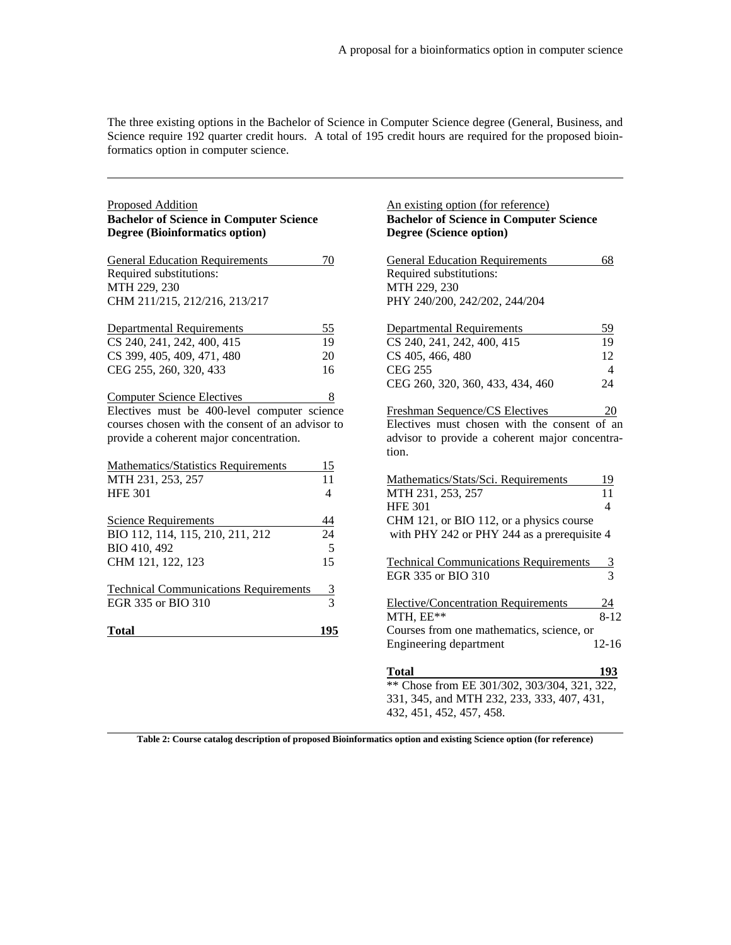The three existing options in the Bachelor of Science in Computer Science degree (General, Business, and Science require 192 quarter credit hours. A total of 195 credit hours are required for the proposed bioinformatics option in computer science.

| <b>Proposed Addition</b><br><b>Bachelor of Science in Computer Science</b><br><b>Degree (Bioinformatics option)</b> |                | An existing option (for reference)<br><b>Bachelor of Science in Computer Science</b><br>Degree (Science option) |                |
|---------------------------------------------------------------------------------------------------------------------|----------------|-----------------------------------------------------------------------------------------------------------------|----------------|
| <b>General Education Requirements</b>                                                                               | 70             | <b>General Education Requirements</b>                                                                           | 68             |
| Required substitutions:                                                                                             |                | Required substitutions:                                                                                         |                |
| MTH 229, 230                                                                                                        |                | MTH 229, 230                                                                                                    |                |
| CHM 211/215, 212/216, 213/217                                                                                       |                | PHY 240/200, 242/202, 244/204                                                                                   |                |
| <b>Departmental Requirements</b>                                                                                    | 55             | <b>Departmental Requirements</b>                                                                                | 59             |
| CS 240, 241, 242, 400, 415                                                                                          | 19             | CS 240, 241, 242, 400, 415                                                                                      | 19             |
| CS 399, 405, 409, 471, 480                                                                                          | 20             | CS 405, 466, 480                                                                                                | 12             |
| CEG 255, 260, 320, 433                                                                                              | 16             | <b>CEG 255</b>                                                                                                  | $\overline{4}$ |
|                                                                                                                     |                | CEG 260, 320, 360, 433, 434, 460                                                                                | 24             |
| <b>Computer Science Electives</b>                                                                                   | 8              |                                                                                                                 |                |
| Electives must be 400-level computer science                                                                        |                | Freshman Sequence/CS Electives                                                                                  | 20             |
| courses chosen with the consent of an advisor to                                                                    |                | Electives must chosen with the consent of an                                                                    |                |
| provide a coherent major concentration.                                                                             |                | advisor to provide a coherent major concentra-                                                                  |                |
|                                                                                                                     |                | tion.                                                                                                           |                |
| <b>Mathematics/Statistics Requirements</b>                                                                          | <u>15</u>      |                                                                                                                 |                |
| MTH 231, 253, 257                                                                                                   | 11             | Mathematics/Stats/Sci. Requirements                                                                             | 19             |
| <b>HFE 301</b>                                                                                                      | $\overline{4}$ | MTH 231, 253, 257                                                                                               | 11             |
|                                                                                                                     |                | <b>HFE 301</b>                                                                                                  | $\overline{4}$ |
| <b>Science Requirements</b>                                                                                         | 44             | CHM 121, or BIO 112, or a physics course                                                                        |                |
| BIO 112, 114, 115, 210, 211, 212                                                                                    | 24             | with PHY 242 or PHY 244 as a prerequisite 4                                                                     |                |
| BIO 410, 492                                                                                                        | 5              |                                                                                                                 |                |
| CHM 121, 122, 123                                                                                                   | 15             | <b>Technical Communications Requirements</b>                                                                    | <u>3</u>       |
|                                                                                                                     |                | EGR 335 or BIO 310                                                                                              | 3              |
| <b>Technical Communications Requirements</b>                                                                        | $\overline{3}$ |                                                                                                                 |                |
| EGR 335 or BIO 310                                                                                                  | 3              | <b>Elective/Concentration Requirements</b>                                                                      | 24             |
|                                                                                                                     |                | MTH, EE**                                                                                                       | $8 - 12$       |
| <b>Total</b>                                                                                                        | 195            | Courses from one mathematics, science, or                                                                       |                |
|                                                                                                                     |                | Engineering department                                                                                          | $12 - 16$      |
|                                                                                                                     |                | <b>Total</b>                                                                                                    | 193            |
|                                                                                                                     |                | ** Chose from EE 301/302, 303/304, 321, 322,                                                                    |                |
|                                                                                                                     |                | 331, 345, and MTH 232, 233, 333, 407, 431,                                                                      |                |
|                                                                                                                     |                | 432, 451, 452, 457, 458.                                                                                        |                |

**Table 2: Course catalog description of proposed Bioinformatics option and existing Science option (for reference)**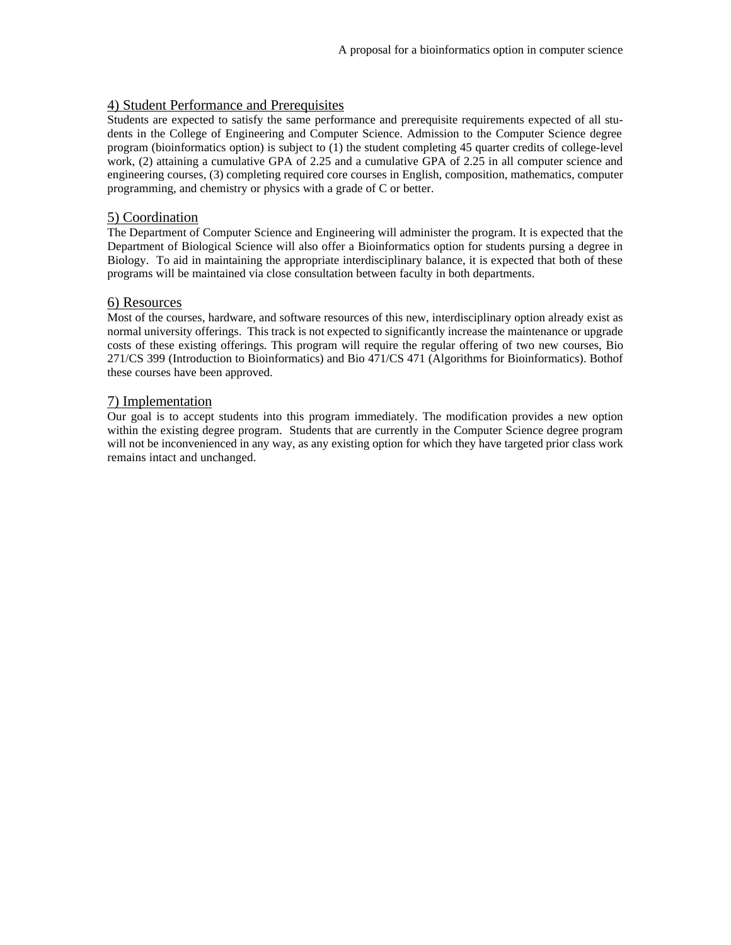#### 4) Student Performance and Prerequisites

Students are expected to satisfy the same performance and prerequisite requirements expected of all students in the College of Engineering and Computer Science. Admission to the Computer Science degree program (bioinformatics option) is subject to (1) the student completing 45 quarter credits of college-level work, (2) attaining a cumulative GPA of 2.25 and a cumulative GPA of 2.25 in all computer science and engineering courses, (3) completing required core courses in English, composition, mathematics, computer programming, and chemistry or physics with a grade of C or better.

#### 5) Coordination

The Department of Computer Science and Engineering will administer the program. It is expected that the Department of Biological Science will also offer a Bioinformatics option for students pursing a degree in Biology. To aid in maintaining the appropriate interdisciplinary balance, it is expected that both of these programs will be maintained via close consultation between faculty in both departments.

#### 6) Resources

Most of the courses, hardware, and software resources of this new, interdisciplinary option already exist as normal university offerings. This track is not expected to significantly increase the maintenance or upgrade costs of these existing offerings. This program will require the regular offering of two new courses, Bio 271/CS 399 (Introduction to Bioinformatics) and Bio 471/CS 471 (Algorithms for Bioinformatics). Bothof these courses have been approved.

#### 7) Implementation

Our goal is to accept students into this program immediately. The modification provides a new option within the existing degree program. Students that are currently in the Computer Science degree program will not be inconvenienced in any way, as any existing option for which they have targeted prior class work remains intact and unchanged.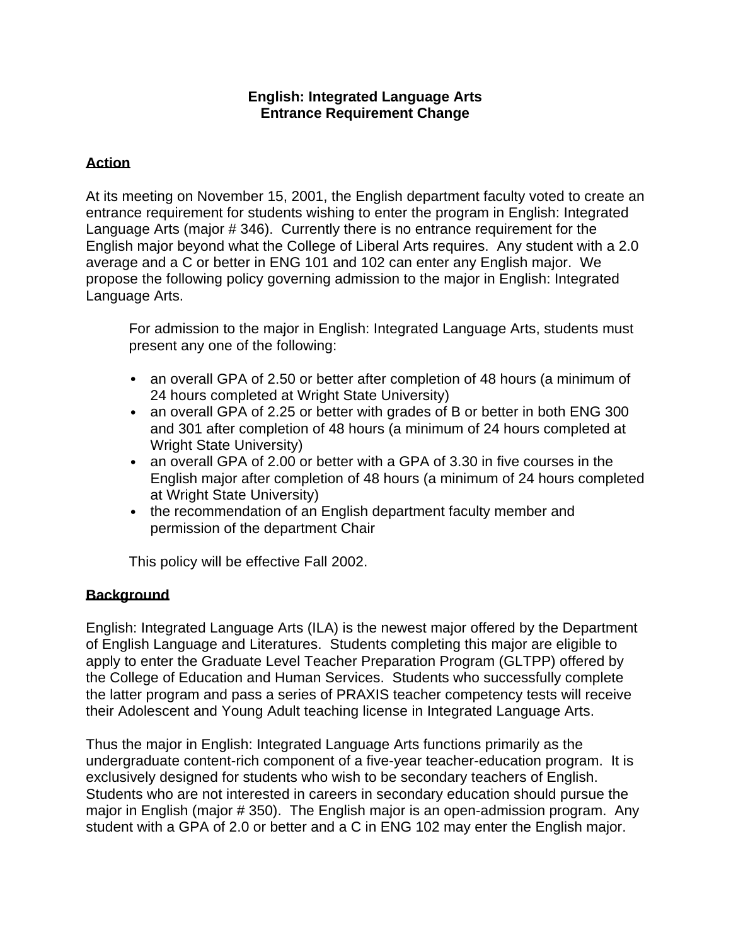#### **English: Integrated Language Arts Entrance Requirement Change**

#### <span id="page-14-0"></span>**Action**

At its meeting on November 15, 2001, the English department faculty voted to create an entrance requirement for students wishing to enter the program in English: Integrated Language Arts (major # 346). Currently there is no entrance requirement for the English major beyond what the College of Liberal Arts requires. Any student with a 2.0 average and a C or better in ENG 101 and 102 can enter any English major. We propose the following policy governing admission to the major in English: Integrated Language Arts.

For admission to the major in English: Integrated Language Arts, students must present any one of the following:

- an overall GPA of 2.50 or better after completion of 48 hours (a minimum of 24 hours completed at Wright State University)
- an overall GPA of 2.25 or better with grades of B or better in both ENG 300 and 301 after completion of 48 hours (a minimum of 24 hours completed at Wright State University)
- an overall GPA of 2.00 or better with a GPA of 3.30 in five courses in the English major after completion of 48 hours (a minimum of 24 hours completed at Wright State University)
- the recommendation of an English department faculty member and permission of the department Chair

This policy will be effective Fall 2002.

#### **Background**

English: Integrated Language Arts (ILA) is the newest major offered by the Department of English Language and Literatures. Students completing this major are eligible to apply to enter the Graduate Level Teacher Preparation Program (GLTPP) offered by the College of Education and Human Services. Students who successfully complete the latter program and pass a series of PRAXIS teacher competency tests will receive their Adolescent and Young Adult teaching license in Integrated Language Arts.

Thus the major in English: Integrated Language Arts functions primarily as the undergraduate content-rich component of a five-year teacher-education program. It is exclusively designed for students who wish to be secondary teachers of English. Students who are not interested in careers in secondary education should pursue the major in English (major # 350). The English major is an open-admission program. Any student with a GPA of 2.0 or better and a C in ENG 102 may enter the English major.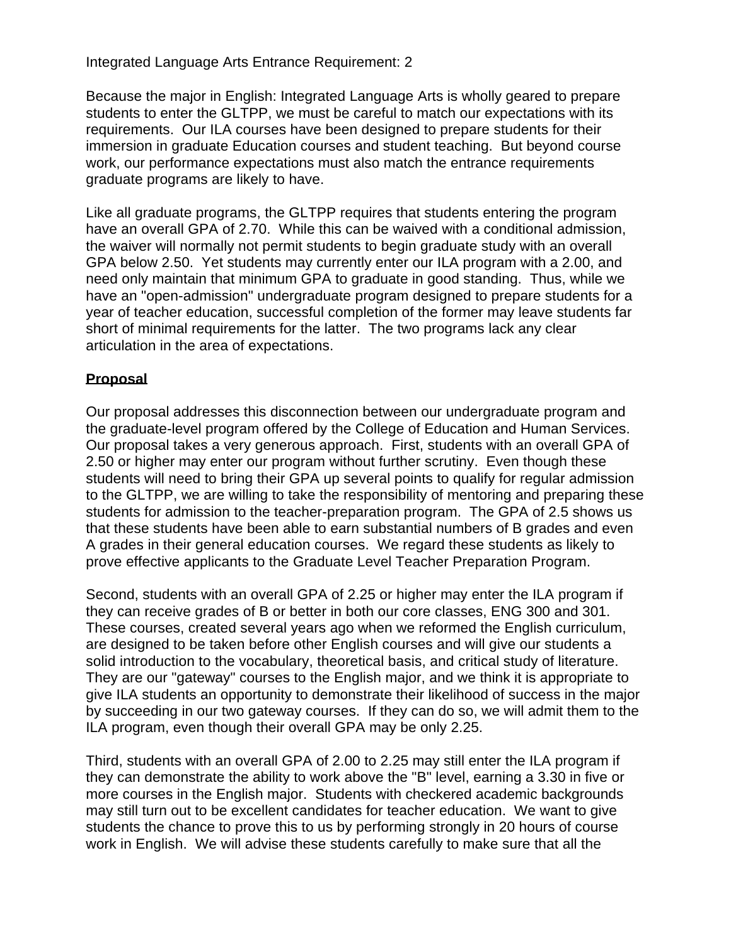Integrated Language Arts Entrance Requirement: 2

Because the major in English: Integrated Language Arts is wholly geared to prepare students to enter the GLTPP, we must be careful to match our expectations with its requirements. Our ILA courses have been designed to prepare students for their immersion in graduate Education courses and student teaching. But beyond course work, our performance expectations must also match the entrance requirements graduate programs are likely to have.

Like all graduate programs, the GLTPP requires that students entering the program have an overall GPA of 2.70. While this can be waived with a conditional admission, the waiver will normally not permit students to begin graduate study with an overall GPA below 2.50. Yet students may currently enter our ILA program with a 2.00, and need only maintain that minimum GPA to graduate in good standing. Thus, while we have an "open-admission" undergraduate program designed to prepare students for a year of teacher education, successful completion of the former may leave students far short of minimal requirements for the latter. The two programs lack any clear articulation in the area of expectations.

#### **Proposal**

Our proposal addresses this disconnection between our undergraduate program and the graduate-level program offered by the College of Education and Human Services. Our proposal takes a very generous approach. First, students with an overall GPA of 2.50 or higher may enter our program without further scrutiny. Even though these students will need to bring their GPA up several points to qualify for regular admission to the GLTPP, we are willing to take the responsibility of mentoring and preparing these students for admission to the teacher-preparation program. The GPA of 2.5 shows us that these students have been able to earn substantial numbers of B grades and even A grades in their general education courses. We regard these students as likely to prove effective applicants to the Graduate Level Teacher Preparation Program.

Second, students with an overall GPA of 2.25 or higher may enter the ILA program if they can receive grades of B or better in both our core classes, ENG 300 and 301. These courses, created several years ago when we reformed the English curriculum, are designed to be taken before other English courses and will give our students a solid introduction to the vocabulary, theoretical basis, and critical study of literature. They are our "gateway" courses to the English major, and we think it is appropriate to give ILA students an opportunity to demonstrate their likelihood of success in the major by succeeding in our two gateway courses. If they can do so, we will admit them to the ILA program, even though their overall GPA may be only 2.25.

Third, students with an overall GPA of 2.00 to 2.25 may still enter the ILA program if they can demonstrate the ability to work above the "B" level, earning a 3.30 in five or more courses in the English major. Students with checkered academic backgrounds may still turn out to be excellent candidates for teacher education. We want to give students the chance to prove this to us by performing strongly in 20 hours of course work in English. We will advise these students carefully to make sure that all the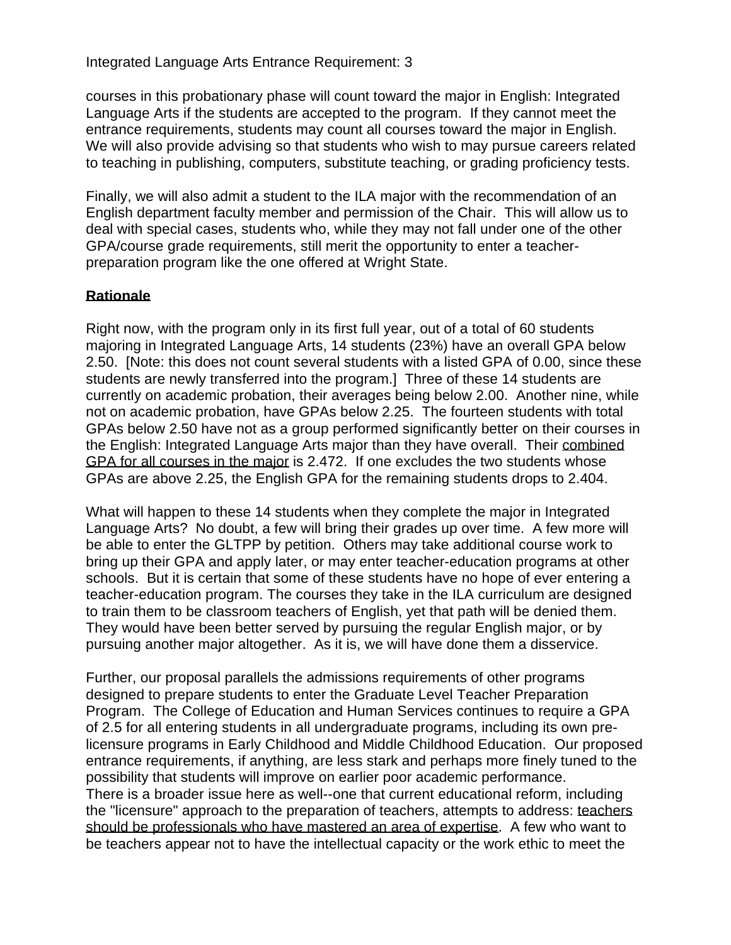Integrated Language Arts Entrance Requirement: 3

courses in this probationary phase will count toward the major in English: Integrated Language Arts if the students are accepted to the program. If they cannot meet the entrance requirements, students may count all courses toward the major in English. We will also provide advising so that students who wish to may pursue careers related to teaching in publishing, computers, substitute teaching, or grading proficiency tests.

Finally, we will also admit a student to the ILA major with the recommendation of an English department faculty member and permission of the Chair. This will allow us to deal with special cases, students who, while they may not fall under one of the other GPA/course grade requirements, still merit the opportunity to enter a teacherpreparation program like the one offered at Wright State.

# **Rationale**

Right now, with the program only in its first full year, out of a total of 60 students majoring in Integrated Language Arts, 14 students (23%) have an overall GPA below 2.50. [Note: this does not count several students with a listed GPA of 0.00, since these students are newly transferred into the program.] Three of these 14 students are currently on academic probation, their averages being below 2.00. Another nine, while not on academic probation, have GPAs below 2.25. The fourteen students with total GPAs below 2.50 have not as a group performed significantly better on their courses in the English: Integrated Language Arts major than they have overall. Their combined GPA for all courses in the major is 2.472. If one excludes the two students whose GPAs are above 2.25, the English GPA for the remaining students drops to 2.404.

What will happen to these 14 students when they complete the major in Integrated Language Arts? No doubt, a few will bring their grades up over time. A few more will be able to enter the GLTPP by petition. Others may take additional course work to bring up their GPA and apply later, or may enter teacher-education programs at other schools. But it is certain that some of these students have no hope of ever entering a teacher-education program. The courses they take in the ILA curriculum are designed to train them to be classroom teachers of English, yet that path will be denied them. They would have been better served by pursuing the regular English major, or by pursuing another major altogether. As it is, we will have done them a disservice.

Further, our proposal parallels the admissions requirements of other programs designed to prepare students to enter the Graduate Level Teacher Preparation Program. The College of Education and Human Services continues to require a GPA of 2.5 for all entering students in all undergraduate programs, including its own prelicensure programs in Early Childhood and Middle Childhood Education. Our proposed entrance requirements, if anything, are less stark and perhaps more finely tuned to the possibility that students will improve on earlier poor academic performance. There is a broader issue here as well--one that current educational reform, including the "licensure" approach to the preparation of teachers, attempts to address: teachers should be professionals who have mastered an area of expertise. A few who want to be teachers appear not to have the intellectual capacity or the work ethic to meet the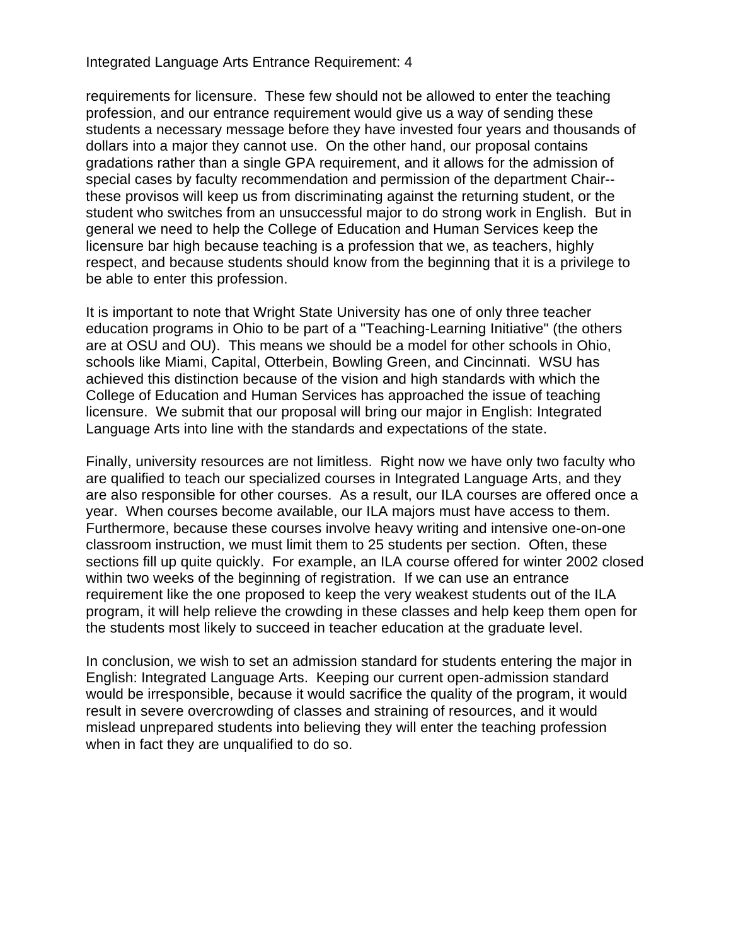Integrated Language Arts Entrance Requirement: 4

requirements for licensure. These few should not be allowed to enter the teaching profession, and our entrance requirement would give us a way of sending these students a necessary message before they have invested four years and thousands of dollars into a major they cannot use. On the other hand, our proposal contains gradations rather than a single GPA requirement, and it allows for the admission of special cases by faculty recommendation and permission of the department Chair- these provisos will keep us from discriminating against the returning student, or the student who switches from an unsuccessful major to do strong work in English. But in general we need to help the College of Education and Human Services keep the licensure bar high because teaching is a profession that we, as teachers, highly respect, and because students should know from the beginning that it is a privilege to be able to enter this profession.

It is important to note that Wright State University has one of only three teacher education programs in Ohio to be part of a "Teaching-Learning Initiative" (the others are at OSU and OU). This means we should be a model for other schools in Ohio, schools like Miami, Capital, Otterbein, Bowling Green, and Cincinnati. WSU has achieved this distinction because of the vision and high standards with which the College of Education and Human Services has approached the issue of teaching licensure. We submit that our proposal will bring our major in English: Integrated Language Arts into line with the standards and expectations of the state.

Finally, university resources are not limitless. Right now we have only two faculty who are qualified to teach our specialized courses in Integrated Language Arts, and they are also responsible for other courses. As a result, our ILA courses are offered once a year. When courses become available, our ILA majors must have access to them. Furthermore, because these courses involve heavy writing and intensive one-on-one classroom instruction, we must limit them to 25 students per section. Often, these sections fill up quite quickly. For example, an ILA course offered for winter 2002 closed within two weeks of the beginning of registration. If we can use an entrance requirement like the one proposed to keep the very weakest students out of the ILA program, it will help relieve the crowding in these classes and help keep them open for the students most likely to succeed in teacher education at the graduate level.

In conclusion, we wish to set an admission standard for students entering the major in English: Integrated Language Arts. Keeping our current open-admission standard would be irresponsible, because it would sacrifice the quality of the program, it would result in severe overcrowding of classes and straining of resources, and it would mislead unprepared students into believing they will enter the teaching profession when in fact they are unqualified to do so.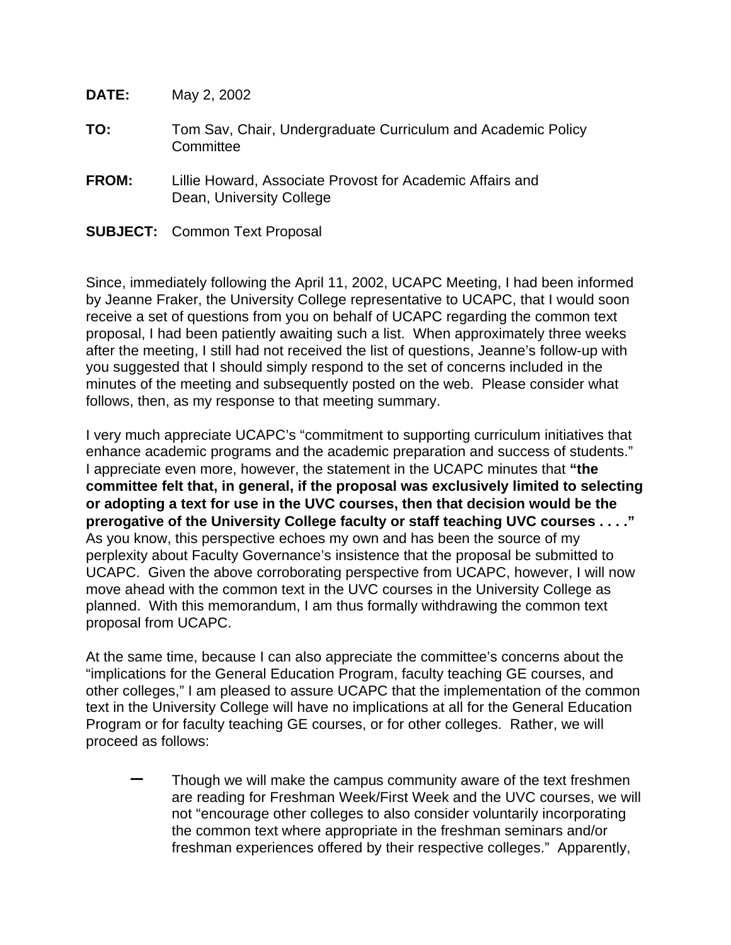<span id="page-18-0"></span>

| <b>DATE:</b> | May 2, 2002                                                                           |
|--------------|---------------------------------------------------------------------------------------|
| TO:          | Tom Sav, Chair, Undergraduate Curriculum and Academic Policy<br>Committee             |
| <b>FROM:</b> | Lillie Howard, Associate Provost for Academic Affairs and<br>Dean, University College |
|              | <b>SUBJECT:</b> Common Text Proposal                                                  |

Since, immediately following the April 11, 2002, UCAPC Meeting, I had been informed by Jeanne Fraker, the University College representative to UCAPC, that I would soon receive a set of questions from you on behalf of UCAPC regarding the common text proposal, I had been patiently awaiting such a list. When approximately three weeks after the meeting, I still had not received the list of questions, Jeanne's follow-up with you suggested that I should simply respond to the set of concerns included in the minutes of the meeting and subsequently posted on the web. Please consider what follows, then, as my response to that meeting summary.

I very much appreciate UCAPC's "commitment to supporting curriculum initiatives that enhance academic programs and the academic preparation and success of students." I appreciate even more, however, the statement in the UCAPC minutes that **"the committee felt that, in general, if the proposal was exclusively limited to selecting or adopting a text for use in the UVC courses, then that decision would be the prerogative of the University College faculty or staff teaching UVC courses . . . ."**  As you know, this perspective echoes my own and has been the source of my perplexity about Faculty Governance's insistence that the proposal be submitted to UCAPC. Given the above corroborating perspective from UCAPC, however, I will now move ahead with the common text in the UVC courses in the University College as planned. With this memorandum, I am thus formally withdrawing the common text proposal from UCAPC.

At the same time, because I can also appreciate the committee's concerns about the "implications for the General Education Program, faculty teaching GE courses, and other colleges," I am pleased to assure UCAPC that the implementation of the common text in the University College will have no implications at all for the General Education Program or for faculty teaching GE courses, or for other colleges. Rather, we will proceed as follows:

Though we will make the campus community aware of the text freshmen are reading for Freshman Week/First Week and the UVC courses, we will not "encourage other colleges to also consider voluntarily incorporating the common text where appropriate in the freshman seminars and/or freshman experiences offered by their respective colleges." Apparently,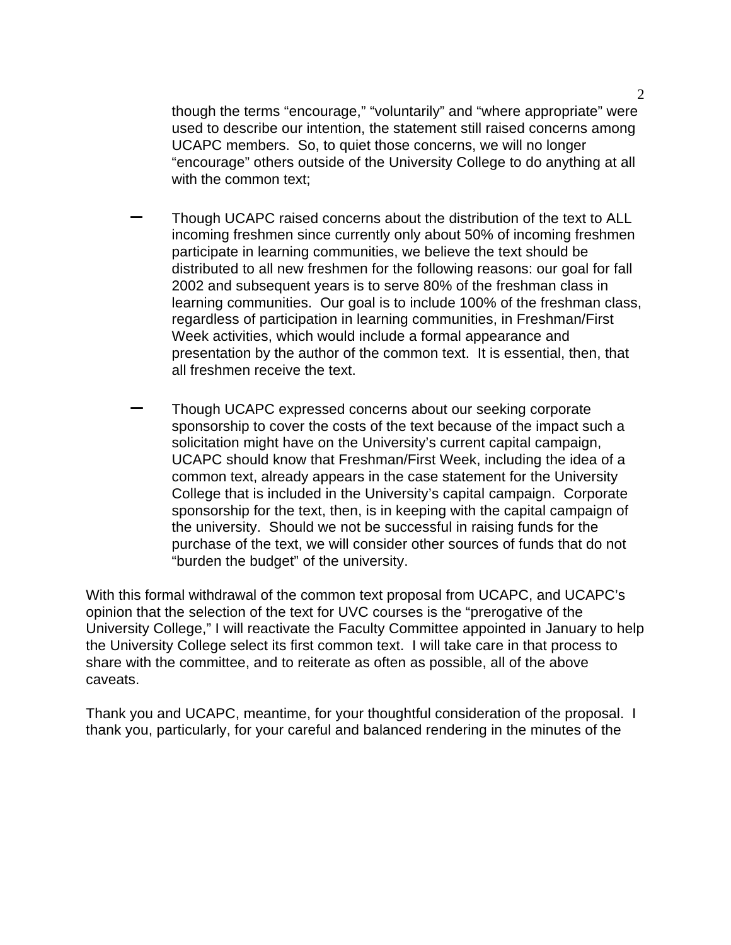though the terms "encourage," "voluntarily" and "where appropriate" were used to describe our intention, the statement still raised concerns among UCAPC members. So, to quiet those concerns, we will no longer "encourage" others outside of the University College to do anything at all with the common text;

- − Though UCAPC raised concerns about the distribution of the text to ALL incoming freshmen since currently only about 50% of incoming freshmen participate in learning communities, we believe the text should be distributed to all new freshmen for the following reasons: our goal for fall 2002 and subsequent years is to serve 80% of the freshman class in learning communities. Our goal is to include 100% of the freshman class, regardless of participation in learning communities, in Freshman/First Week activities, which would include a formal appearance and presentation by the author of the common text. It is essential, then, that all freshmen receive the text.
- Though UCAPC expressed concerns about our seeking corporate sponsorship to cover the costs of the text because of the impact such a solicitation might have on the University's current capital campaign, UCAPC should know that Freshman/First Week, including the idea of a common text, already appears in the case statement for the University College that is included in the University's capital campaign. Corporate sponsorship for the text, then, is in keeping with the capital campaign of the university. Should we not be successful in raising funds for the purchase of the text, we will consider other sources of funds that do not "burden the budget" of the university.

With this formal withdrawal of the common text proposal from UCAPC, and UCAPC's opinion that the selection of the text for UVC courses is the "prerogative of the University College," I will reactivate the Faculty Committee appointed in January to help the University College select its first common text. I will take care in that process to share with the committee, and to reiterate as often as possible, all of the above caveats.

Thank you and UCAPC, meantime, for your thoughtful consideration of the proposal. I thank you, particularly, for your careful and balanced rendering in the minutes of the